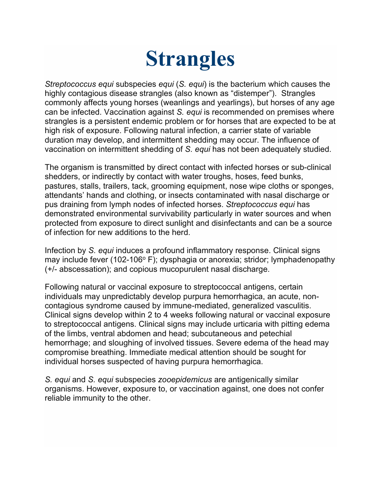# **Strangles**

*Streptococcus equi* subspecies *equi* (*S. equi*) is the bacterium which causes the highly contagious disease strangles (also known as "distemper"). Strangles commonly affects young horses (weanlings and yearlings), but horses of any age can be infected. Vaccination against *S. equi* is recommended on premises where strangles is a persistent endemic problem or for horses that are expected to be at high risk of exposure. Following natural infection, a carrier state of variable duration may develop, and intermittent shedding may occur. The influence of vaccination on intermittent shedding of *S. equi* has not been adequately studied.

The organism is transmitted by direct contact with infected horses or sub-clinical shedders, or indirectly by contact with water troughs, hoses, feed bunks, pastures, stalls, trailers, tack, grooming equipment, nose wipe cloths or sponges, attendants' hands and clothing, or insects contaminated with nasal discharge or pus draining from lymph nodes of infected horses. *Streptococcus equi* has demonstrated environmental survivability particularly in water sources and when protected from exposure to direct sunlight and disinfectants and can be a source of infection for new additions to the herd.

Infection by *S. equi* induces a profound inflammatory response. Clinical signs may include fever (102-106 $\degree$  F); dysphagia or anorexia; stridor; lymphadenopathy (+/- abscessation); and copious mucopurulent nasal discharge.

Following natural or vaccinal exposure to streptococcal antigens, certain individuals may unpredictably develop purpura hemorrhagica, an acute, noncontagious syndrome caused by immune-mediated, generalized vasculitis. Clinical signs develop within 2 to 4 weeks following natural or vaccinal exposure to streptococcal antigens. Clinical signs may include urticaria with pitting edema of the limbs, ventral abdomen and head; subcutaneous and petechial hemorrhage; and sloughing of involved tissues. Severe edema of the head may compromise breathing. Immediate medical attention should be sought for individual horses suspected of having purpura hemorrhagica.

*S. equi* and *S. equi* subspecies *zooepidemicus* are antigenically similar organisms. However, exposure to, or vaccination against, one does not confer reliable immunity to the other.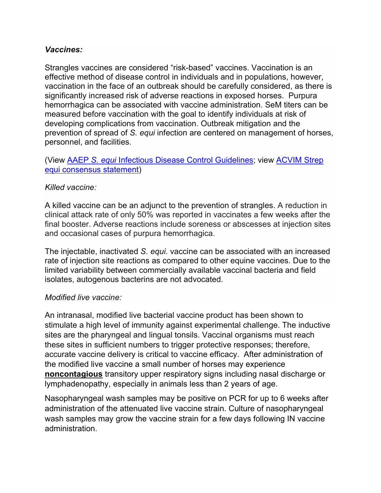# *Vaccines:*

Strangles vaccines are considered "risk-based" vaccines. Vaccination is an effective method of disease control in individuals and in populations, however, vaccination in the face of an outbreak should be carefully considered, as there is significantly increased risk of adverse reactions in exposed horses. Purpura hemorrhagica can be associated with vaccine administration. SeM titers can be measured before vaccination with the goal to identify individuals at risk of developing complications from vaccination. Outbreak mitigation and the prevention of spread of *S. equi* infection are centered on management of horses, personnel, and facilities.

#### (View AAEP *S. equi* [Infectious Disease Control](https://aaep.org/sites/default/files/Documents/Strangles_DZ_Guidelines_FINAL_2020.pdf) Guidelines; view [ACVIM Strep](https://onlinelibrary.wiley.com/doi/pdf/10.1111/jvim.15043)  [equi consensus statement\)](https://onlinelibrary.wiley.com/doi/pdf/10.1111/jvim.15043)

#### *Killed vaccine:*

A killed vaccine can be an adjunct to the prevention of strangles. A reduction in clinical attack rate of only 50% was reported in vaccinates a few weeks after the final booster. Adverse reactions include soreness or abscesses at injection sites and occasional cases of purpura hemorrhagica.

The injectable, inactivated *S. equi.* vaccine can be associated with an increased rate of injection site reactions as compared to other equine vaccines. Due to the limited variability between commercially available vaccinal bacteria and field isolates, autogenous bacterins are not advocated.

#### *Modified live vaccine:*

An intranasal, modified live bacterial vaccine product has been shown to stimulate a high level of immunity against experimental challenge. The inductive sites are the pharyngeal and lingual tonsils. Vaccinal organisms must reach these sites in sufficient numbers to trigger protective responses; therefore, accurate vaccine delivery is critical to vaccine efficacy. After administration of the modified live vaccine a small number of horses may experience **noncontagious** transitory upper respiratory signs including nasal discharge or lymphadenopathy, especially in animals less than 2 years of age.

Nasopharyngeal wash samples may be positive on PCR for up to 6 weeks after administration of the attenuated live vaccine strain. Culture of nasopharyngeal wash samples may grow the vaccine strain for a few days following IN vaccine administration.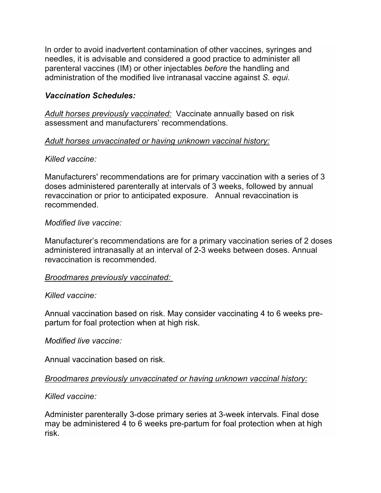In order to avoid inadvertent contamination of other vaccines, syringes and needles, it is advisable and considered a good practice to administer all parenteral vaccines (IM) or other injectables *before* the handling and administration of the modified live intranasal vaccine against *S. equi*.

## *Vaccination Schedules:*

*Adult horses previously vaccinated:* Vaccinate annually based on risk assessment and manufacturers' recommendations.

## *Adult horses unvaccinated or having unknown vaccinal history:*

#### *Killed vaccine:*

Manufacturers' recommendations are for primary vaccination with a series of 3 doses administered parenterally at intervals of 3 weeks, followed by annual revaccination or prior to anticipated exposure. Annual revaccination is recommended.

## *Modified live vaccine:*

Manufacturer's recommendations are for a primary vaccination series of 2 doses administered intranasally at an interval of 2-3 weeks between doses. Annual revaccination is recommended.

#### *Broodmares previously vaccinated:*

# *Killed vaccine:*

Annual vaccination based on risk. May consider vaccinating 4 to 6 weeks prepartum for foal protection when at high risk.

#### *Modified live vaccine:*

Annual vaccination based on risk.

# *Broodmares previously unvaccinated or having unknown vaccinal history:*

# *Killed vaccine:*

Administer parenterally 3-dose primary series at 3-week intervals*.* Final dose may be administered 4 to 6 weeks pre-partum for foal protection when at high risk.